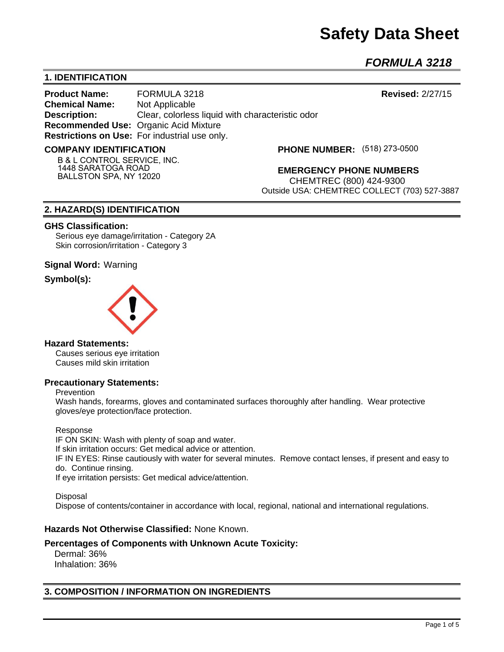# **Safety Data Sheet**

*FORMULA 3218* 

## **1. IDENTIFICATION**

**Product Name:** FORMULA 3218 **Revised:** 2/27/15 **Chemical Name:** Not Applicable **Description:** Clear, colorless liquid with characteristic odor **Recommended Use:** Organic Acid Mixture **Restrictions on Use:** For industrial use only.

#### **COMPANY IDENTIFICATION**

**B & L CONTROL SERVICE, INC. 1448 SARATOGA ROAD BALLSTON SPA, NY 12020**

**(518) 273-0500**

**EMERGENCY PHONE NUMBERS** CHEMTREC (800) 424-9300 Outside USA: CHEMTREC COLLECT (703) 527-3887

### **2. HAZARD(S) IDENTIFICATION**

#### **GHS Classification:**

Serious eye damage/irritation - Category 2A Skin corrosion/irritation - Category 3

### **Signal Word:** Warning

### **Symbol(s):**



#### **Hazard Statements:**

Causes serious eye irritation Causes mild skin irritation

#### **Precautionary Statements:**

Prevention

Wash hands, forearms, gloves and contaminated surfaces thoroughly after handling. Wear protective gloves/eye protection/face protection.

#### Response

IF ON SKIN: Wash with plenty of soap and water. If skin irritation occurs: Get medical advice or attention. IF IN EYES: Rinse cautiously with water for several minutes. Remove contact lenses, if present and easy to do. Continue rinsing. If eye irritation persists: Get medical advice/attention.

Disposal Dispose of contents/container in accordance with local, regional, national and international regulations.

## **Hazards Not Otherwise Classified:** None Known.

## **Percentages of Components with Unknown Acute Toxicity:**

 Dermal: 36% Inhalation: 36%

## **3. COMPOSITION / INFORMATION ON INGREDIENTS**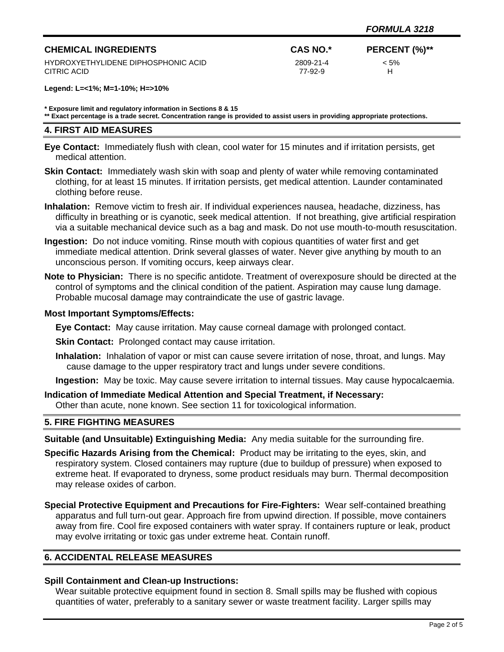## **CHEMICAL INGREDIENTS CAS NO.\* PERCENT (%)\*\*** HYDROXYETHYLIDENE DIPHOSPHONIC ACID 2809-21-4 < 5% CITRIC ACID 77-92-9 H

**Legend: L=<1%; M=1-10%; H=>10%**

**\* Exposure limit and regulatory information in Sections 8 & 15**

**\*\* Exact percentage is a trade secret. Concentration range is provided to assist users in providing appropriate protections.**

#### **4. FIRST AID MEASURES**

- **Eye Contact:** Immediately flush with clean, cool water for 15 minutes and if irritation persists, get medical attention.
- **Skin Contact:** Immediately wash skin with soap and plenty of water while removing contaminated clothing, for at least 15 minutes. If irritation persists, get medical attention. Launder contaminated clothing before reuse.
- **Inhalation:** Remove victim to fresh air. If individual experiences nausea, headache, dizziness, has difficulty in breathing or is cyanotic, seek medical attention. If not breathing, give artificial respiration via a suitable mechanical device such as a bag and mask. Do not use mouth-to-mouth resuscitation.
- **Ingestion:** Do not induce vomiting. Rinse mouth with copious quantities of water first and get immediate medical attention. Drink several glasses of water. Never give anything by mouth to an unconscious person. If vomiting occurs, keep airways clear.
- **Note to Physician:** There is no specific antidote. Treatment of overexposure should be directed at the control of symptoms and the clinical condition of the patient. Aspiration may cause lung damage. Probable mucosal damage may contraindicate the use of gastric lavage.

### **Most Important Symptoms/Effects:**

**Eye Contact:** May cause irritation. May cause corneal damage with prolonged contact.

**Skin Contact:** Prolonged contact may cause irritation.

**Inhalation:** Inhalation of vapor or mist can cause severe irritation of nose, throat, and lungs. May cause damage to the upper respiratory tract and lungs under severe conditions.

**Ingestion:** May be toxic. May cause severe irritation to internal tissues. May cause hypocalcaemia.

**Indication of Immediate Medical Attention and Special Treatment, if Necessary:** Other than acute, none known. See section 11 for toxicological information.

## **5. FIRE FIGHTING MEASURES**

**Suitable (and Unsuitable) Extinguishing Media:** Any media suitable for the surrounding fire.

- **Specific Hazards Arising from the Chemical:** Product may be irritating to the eyes, skin, and respiratory system. Closed containers may rupture (due to buildup of pressure) when exposed to extreme heat. If evaporated to dryness, some product residuals may burn. Thermal decomposition may release oxides of carbon.
- **Special Protective Equipment and Precautions for Fire-Fighters:** Wear self-contained breathing apparatus and full turn-out gear. Approach fire from upwind direction. If possible, move containers away from fire. Cool fire exposed containers with water spray. If containers rupture or leak, product may evolve irritating or toxic gas under extreme heat. Contain runoff.

## **6. ACCIDENTAL RELEASE MEASURES**

## **Spill Containment and Clean-up Instructions:**

Wear suitable protective equipment found in section 8. Small spills may be flushed with copious quantities of water, preferably to a sanitary sewer or waste treatment facility. Larger spills may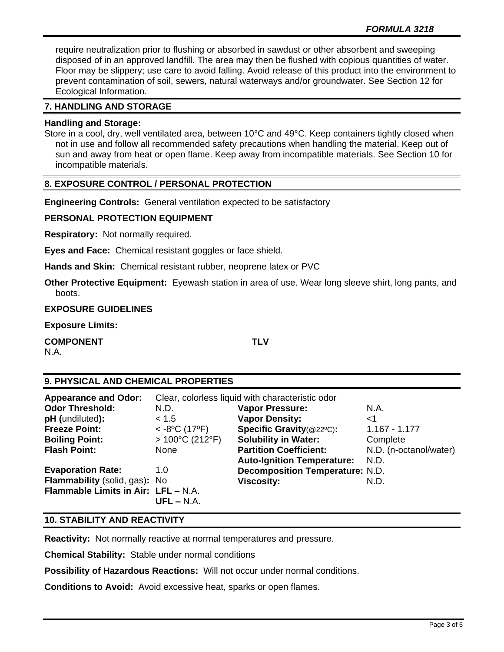require neutralization prior to flushing or absorbed in sawdust or other absorbent and sweeping disposed of in an approved landfill. The area may then be flushed with copious quantities of water. Floor may be slippery; use care to avoid falling. Avoid release of this product into the environment to prevent contamination of soil, sewers, natural waterways and/or groundwater. See Section 12 for Ecological Information.

## **7. HANDLING AND STORAGE**

## **Handling and Storage:**

Store in a cool, dry, well ventilated area, between 10°C and 49°C. Keep containers tightly closed when not in use and follow all recommended safety precautions when handling the material. Keep out of sun and away from heat or open flame. Keep away from incompatible materials. See Section 10 for incompatible materials.

## **8. EXPOSURE CONTROL / PERSONAL PROTECTION**

**Engineering Controls:** General ventilation expected to be satisfactory

## **PERSONAL PROTECTION EQUIPMENT**

**Respiratory:** Not normally required.

**Eyes and Face:** Chemical resistant goggles or face shield.

**Hands and Skin:** Chemical resistant rubber, neoprene latex or PVC

**Other Protective Equipment:** Eyewash station in area of use. Wear long sleeve shirt, long pants, and boots.

## **EXPOSURE GUIDELINES**

**Exposure Limits:** 

**COMPONENT TLV**

N.A.

## **9. PHYSICAL AND CHEMICAL PROPERTIES**

| <b>Appearance and Odor:</b>         | Clear, colorless liquid with characteristic odor |                                        |                        |
|-------------------------------------|--------------------------------------------------|----------------------------------------|------------------------|
| <b>Odor Threshold:</b>              | N.D.                                             | <b>Vapor Pressure:</b>                 | N.A.                   |
| pH (undiluted):                     | < 1.5                                            | <b>Vapor Density:</b>                  | $<$ 1                  |
| <b>Freeze Point:</b>                | $<$ -8°C (17°F)                                  | Specific Gravity(@22°C):               | $1.167 - 1.177$        |
| <b>Boiling Point:</b>               | $>100^{\circ}$ C (212 $^{\circ}$ F)              | <b>Solubility in Water:</b>            | Complete               |
| <b>Flash Point:</b>                 | None                                             | <b>Partition Coefficient:</b>          | N.D. (n-octanol/water) |
|                                     |                                                  | <b>Auto-Ignition Temperature:</b>      | N.D.                   |
| <b>Evaporation Rate:</b>            | 1.0                                              | <b>Decomposition Temperature: N.D.</b> |                        |
| Flammability (solid, gas): No       |                                                  | <b>Viscosity:</b>                      | N.D.                   |
| Flammable Limits in Air: LFL - N.A. |                                                  |                                        |                        |
|                                     | $UFL - N.A.$                                     |                                        |                        |

## **10. STABILITY AND REACTIVITY**

**Reactivity:** Not normally reactive at normal temperatures and pressure.

**Chemical Stability:** Stable under normal conditions

**Possibility of Hazardous Reactions:** Will not occur under normal conditions.

**Conditions to Avoid:** Avoid excessive heat, sparks or open flames.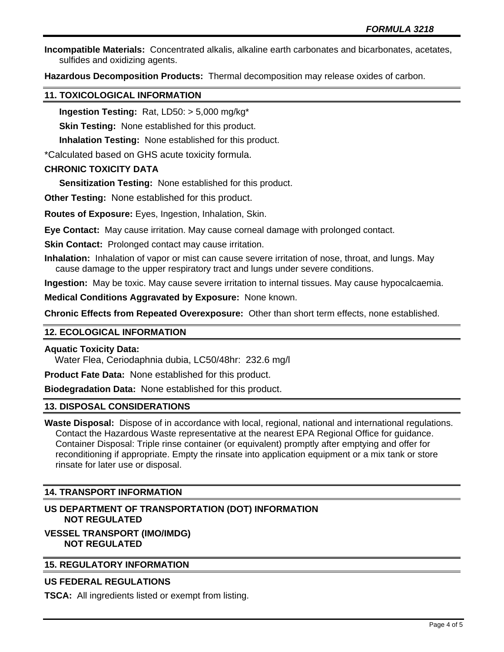**Incompatible Materials:** Concentrated alkalis, alkaline earth carbonates and bicarbonates, acetates, sulfides and oxidizing agents.

**Hazardous Decomposition Products:** Thermal decomposition may release oxides of carbon.

## **11. TOXICOLOGICAL INFORMATION**

**Ingestion Testing:** Rat, LD50: > 5,000 mg/kg\*

**Skin Testing:** None established for this product.

**Inhalation Testing:** None established for this product.

\*Calculated based on GHS acute toxicity formula.

## **CHRONIC TOXICITY DATA**

**Sensitization Testing:** None established for this product.

**Other Testing:** None established for this product.

**Routes of Exposure:** Eyes, Ingestion, Inhalation, Skin.

**Eye Contact:** May cause irritation. May cause corneal damage with prolonged contact.

**Skin Contact: Prolonged contact may cause irritation.** 

**Inhalation:** Inhalation of vapor or mist can cause severe irritation of nose, throat, and lungs. May cause damage to the upper respiratory tract and lungs under severe conditions.

**Ingestion:** May be toxic. May cause severe irritation to internal tissues. May cause hypocalcaemia.

**Medical Conditions Aggravated by Exposure:** None known.

**Chronic Effects from Repeated Overexposure:** Other than short term effects, none established.

## **12. ECOLOGICAL INFORMATION**

## **Aquatic Toxicity Data:**

Water Flea, Ceriodaphnia dubia, LC50/48hr: 232.6 mg/l

**Product Fate Data:** None established for this product.

**Biodegradation Data:** None established for this product.

## **13. DISPOSAL CONSIDERATIONS**

**Waste Disposal:** Dispose of in accordance with local, regional, national and international regulations. Contact the Hazardous Waste representative at the nearest EPA Regional Office for guidance. Container Disposal: Triple rinse container (or equivalent) promptly after emptying and offer for reconditioning if appropriate. Empty the rinsate into application equipment or a mix tank or store rinsate for later use or disposal.

## **14. TRANSPORT INFORMATION**

## **US DEPARTMENT OF TRANSPORTATION (DOT) INFORMATION NOT REGULATED**

**VESSEL TRANSPORT (IMO/IMDG) NOT REGULATED**

## **15. REGULATORY INFORMATION**

## **US FEDERAL REGULATIONS**

**TSCA:** All ingredients listed or exempt from listing.